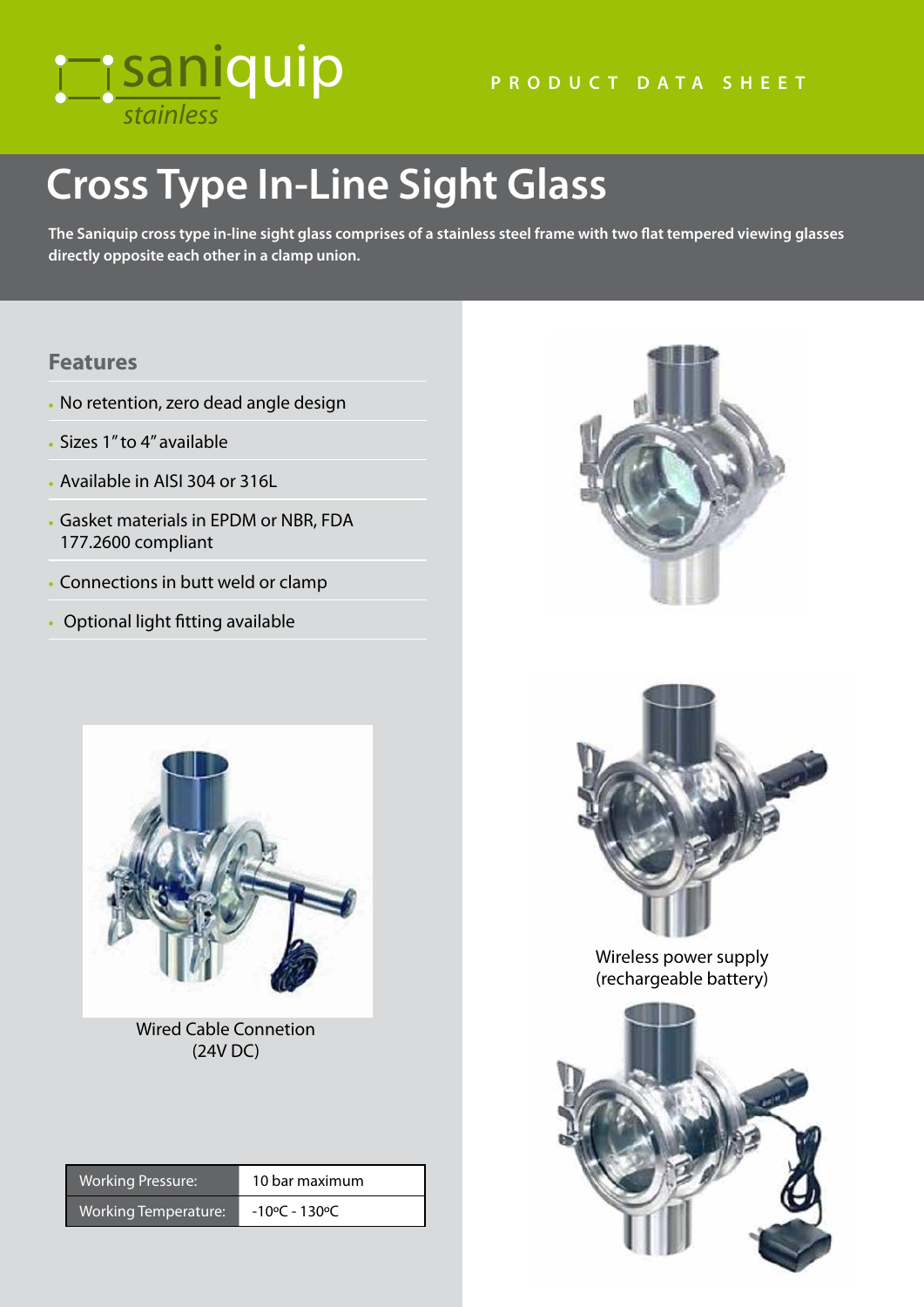## *stainless* saniquip

# **Cross Type In-Line Sight Glass**

**The Saniquip cross type in-line sight glass comprises of a stainless steel frame with two flat tempered viewing glasses directly opposite each other in a clamp union.**

#### **Features**

- No retention, zero dead angle design
- Sizes 1" to 4" available
- Available in AISI 304 or 316L
- Gasket materials in EPDM or NBR, FDA 177.2600 compliant
- Connections in butt weld or clamp
- Optional light fitting available



Wired Cable Connetion (24V DC)

| <b>Working Pressure:</b> | 10 bar maximum |
|--------------------------|----------------|
|                          |                |

Working Temperature: - 10°C - 130°C





Wireless power supply (rechargeable battery)